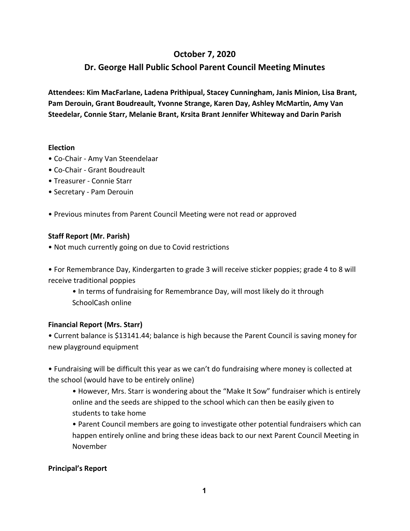## **October 7, 2020**

# **Dr. George Hall Public School Parent Council Meeting Minutes**

**Attendees: Kim MacFarlane, Ladena Prithipual, Stacey Cunningham, Janis Minion, Lisa Brant, Pam Derouin, Grant Boudreault, Yvonne Strange, Karen Day, Ashley McMartin, Amy Van Steedelar, Connie Starr, Melanie Brant, Krsita Brant Jennifer Whiteway and Darin Parish**

#### **Election**

- Co-Chair Amy Van Steendelaar
- Co-Chair Grant Boudreault
- Treasurer Connie Starr
- Secretary Pam Derouin
- Previous minutes from Parent Council Meeting were not read or approved

#### **Staff Report (Mr. Parish)**

• Not much currently going on due to Covid restrictions

• For Remembrance Day, Kindergarten to grade 3 will receive sticker poppies; grade 4 to 8 will receive traditional poppies

• In terms of fundraising for Remembrance Day, will most likely do it through SchoolCash online

### **Financial Report (Mrs. Starr)**

• Current balance is \$13141.44; balance is high because the Parent Council is saving money for new playground equipment

• Fundraising will be difficult this year as we can't do fundraising where money is collected at the school (would have to be entirely online)

• However, Mrs. Starr is wondering about the "Make It Sow" fundraiser which is entirely online and the seeds are shipped to the school which can then be easily given to students to take home

• Parent Council members are going to investigate other potential fundraisers which can happen entirely online and bring these ideas back to our next Parent Council Meeting in November

#### **Principal's Report**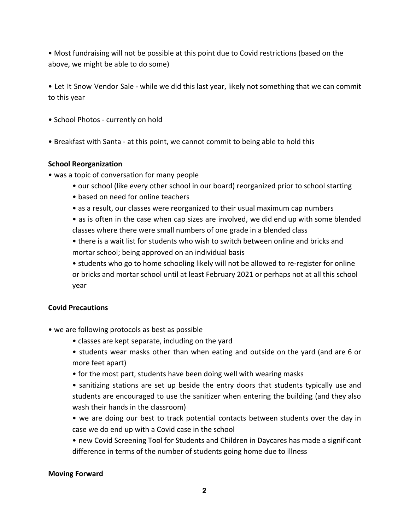• Most fundraising will not be possible at this point due to Covid restrictions (based on the above, we might be able to do some)

• Let It Snow Vendor Sale - while we did this last year, likely not something that we can commit to this year

- School Photos currently on hold
- Breakfast with Santa at this point, we cannot commit to being able to hold this

### **School Reorganization**

- was a topic of conversation for many people
	- our school (like every other school in our board) reorganized prior to school starting
	- based on need for online teachers
	- as a result, our classes were reorganized to their usual maximum cap numbers

• as is often in the case when cap sizes are involved, we did end up with some blended classes where there were small numbers of one grade in a blended class

• there is a wait list for students who wish to switch between online and bricks and mortar school; being approved on an individual basis

• students who go to home schooling likely will not be allowed to re-register for online or bricks and mortar school until at least February 2021 or perhaps not at all this school year

### **Covid Precautions**

- we are following protocols as best as possible
	- classes are kept separate, including on the yard
	- students wear masks other than when eating and outside on the yard (and are 6 or more feet apart)
	- for the most part, students have been doing well with wearing masks

• sanitizing stations are set up beside the entry doors that students typically use and students are encouraged to use the sanitizer when entering the building (and they also wash their hands in the classroom)

- we are doing our best to track potential contacts between students over the day in case we do end up with a Covid case in the school
- new Covid Screening Tool for Students and Children in Daycares has made a significant difference in terms of the number of students going home due to illness

### **Moving Forward**